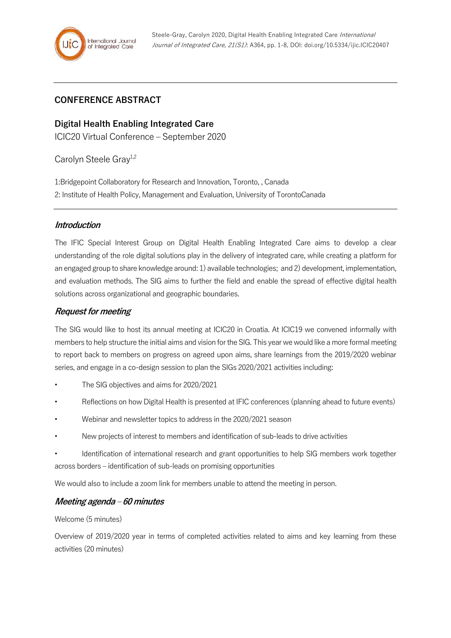# **CONFERENCE ABSTRACT**

**Digital Health Enabling Integrated Care** ICIC20 Virtual Conference – September 2020

Carolyn Steele Gray<sup>1,2</sup>

1:Bridgepoint Collaboratory for Research and Innovation, Toronto, , Canada 2: Institute of Health Policy, Management and Evaluation, University of TorontoCanada

### **Introduction**

The IFIC Special Interest Group on Digital Health Enabling Integrated Care aims to develop a clear understanding of the role digital solutions play in the delivery of integrated care, while creating a platform for an engaged group to share knowledge around: 1) available technologies; and 2) development, implementation, and evaluation methods. The SIG aims to further the field and enable the spread of effective digital health solutions across organizational and geographic boundaries.

# **Request for meeting**

The SIG would like to host its annual meeting at ICIC20 in Croatia. At ICIC19 we convened informally with members to help structure the initial aims and vision for the SIG. This year we would like a more formal meeting to report back to members on progress on agreed upon aims, share learnings from the 2019/2020 webinar series, and engage in a co-design session to plan the SIGs 2020/2021 activities including:

- The SIG objectives and aims for 2020/2021
- Reflections on how Digital Health is presented at IFIC conferences (planning ahead to future events)
- Webinar and newsletter topics to address in the 2020/2021 season
- New projects of interest to members and identification of sub-leads to drive activities
- Identification of international research and grant opportunities to help SIG members work together across borders – identification of sub-leads on promising opportunities

We would also to include a zoom link for members unable to attend the meeting in person.

### **Meeting agenda – 60 minutes**

Welcome (5 minutes)

Overview of 2019/2020 year in terms of completed activities related to aims and key learning from these activities (20 minutes)